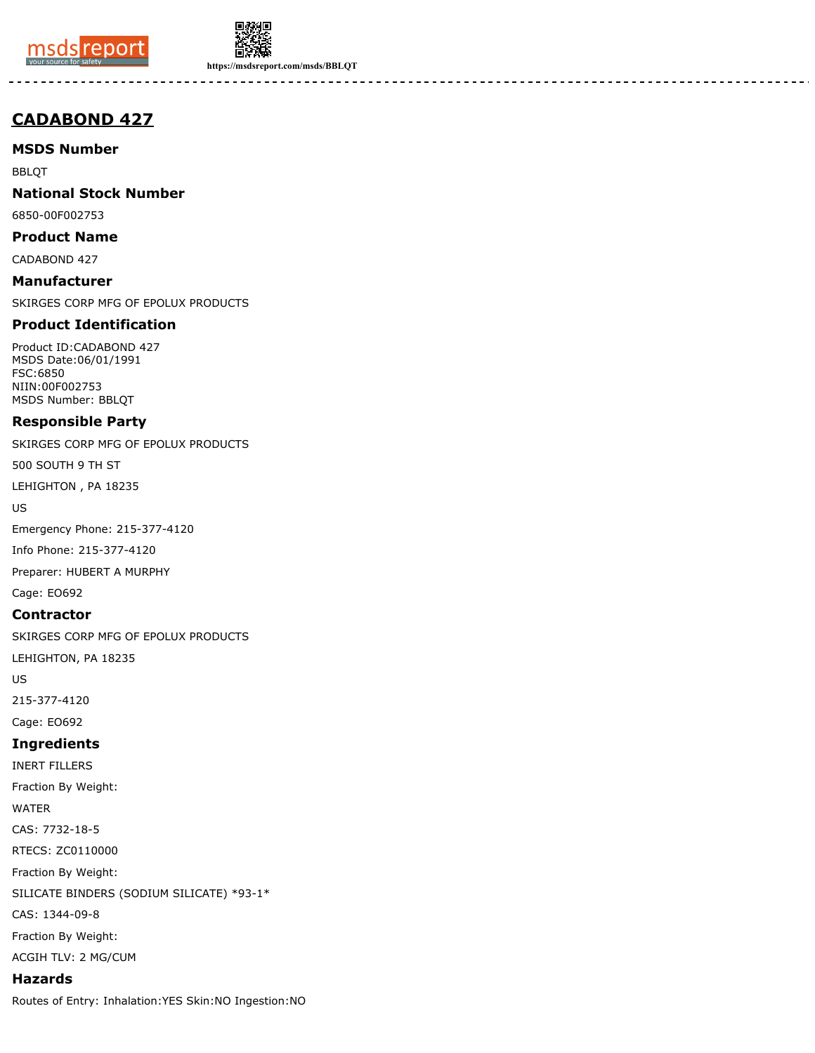



**https://msdsreport.com/msds/BBLQT**

# **CADABOND 427**

**MSDS Number**

BBLQT

**National Stock Number**

6850-00F002753

**Product Name** CADABOND 427

**Manufacturer**

SKIRGES CORP MFG OF EPOLUX PRODUCTS

# **Product Identification**

Product ID:CADABOND 427 MSDS Date:06/01/1991 FSC:6850 NIIN:00F002753 MSDS Number: BBLQT

# **Responsible Party**

SKIRGES CORP MFG OF EPOLUX PRODUCTS

500 SOUTH 9 TH ST

LEHIGHTON , PA 18235

US

Emergency Phone: 215-377-4120

Info Phone: 215-377-4120

Preparer: HUBERT A MURPHY

Cage: EO692

# **Contractor**

SKIRGES CORP MFG OF EPOLUX PRODUCTS

LEHIGHTON, PA 18235

US

215-377-4120

Cage: EO692

# **Ingredients**

INERT FILLERS Fraction By Weight: WATER CAS: 7732-18-5 RTECS: ZC0110000 Fraction By Weight: SILICATE BINDERS (SODIUM SILICATE) \*93-1\* CAS: 1344-09-8 Fraction By Weight:

ACGIH TLV: 2 MG/CUM

# **Hazards**

Routes of Entry: Inhalation:YES Skin:NO Ingestion:NO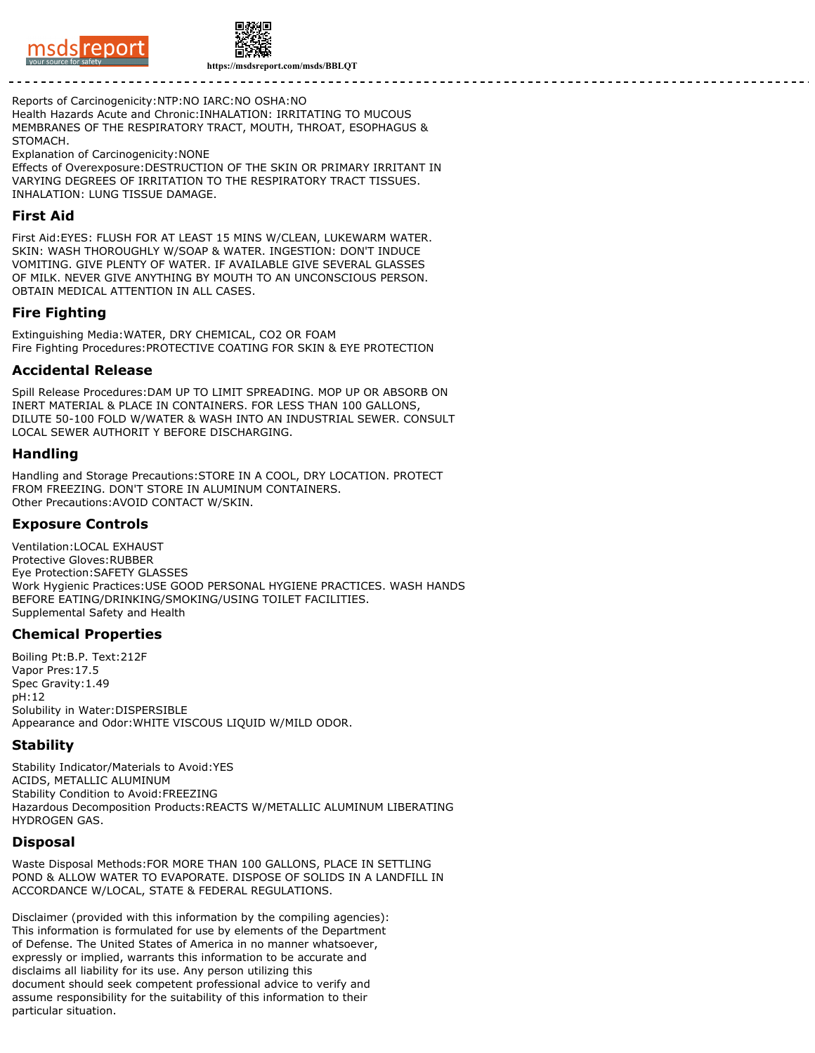



**https://msdsreport.com/msds/BBLQT**

#### Reports of Carcinogenicity:NTP:NO IARC:NO OSHA:NO

Health Hazards Acute and Chronic:INHALATION: IRRITATING TO MUCOUS MEMBRANES OF THE RESPIRATORY TRACT, MOUTH, THROAT, ESOPHAGUS & STOMACH.

Explanation of Carcinogenicity:NONE

Effects of Overexposure:DESTRUCTION OF THE SKIN OR PRIMARY IRRITANT IN VARYING DEGREES OF IRRITATION TO THE RESPIRATORY TRACT TISSUES. INHALATION: LUNG TISSUE DAMAGE.

### **First Aid**

First Aid:EYES: FLUSH FOR AT LEAST 15 MINS W/CLEAN, LUKEWARM WATER. SKIN: WASH THOROUGHLY W/SOAP & WATER. INGESTION: DON'T INDUCE VOMITING. GIVE PLENTY OF WATER. IF AVAILABLE GIVE SEVERAL GLASSES OF MILK. NEVER GIVE ANYTHING BY MOUTH TO AN UNCONSCIOUS PERSON. OBTAIN MEDICAL ATTENTION IN ALL CASES.

# **Fire Fighting**

Extinguishing Media:WATER, DRY CHEMICAL, CO2 OR FOAM Fire Fighting Procedures:PROTECTIVE COATING FOR SKIN & EYE PROTECTION

#### **Accidental Release**

Spill Release Procedures:DAM UP TO LIMIT SPREADING. MOP UP OR ABSORB ON INERT MATERIAL & PLACE IN CONTAINERS. FOR LESS THAN 100 GALLONS, DILUTE 50-100 FOLD W/WATER & WASH INTO AN INDUSTRIAL SEWER. CONSULT LOCAL SEWER AUTHORIT Y BEFORE DISCHARGING.

## **Handling**

Handling and Storage Precautions:STORE IN A COOL, DRY LOCATION. PROTECT FROM FREEZING. DON'T STORE IN ALUMINUM CONTAINERS. Other Precautions:AVOID CONTACT W/SKIN.

# **Exposure Controls**

Ventilation:LOCAL EXHAUST Protective Gloves:RUBBER Eye Protection:SAFETY GLASSES Work Hygienic Practices:USE GOOD PERSONAL HYGIENE PRACTICES. WASH HANDS BEFORE EATING/DRINKING/SMOKING/USING TOILET FACILITIES. Supplemental Safety and Health

## **Chemical Properties**

Boiling Pt:B.P. Text:212F Vapor Pres:17.5 Spec Gravity:1.49 pH:12 Solubility in Water:DISPERSIBLE Appearance and Odor:WHITE VISCOUS LIQUID W/MILD ODOR.

## **Stability**

Stability Indicator/Materials to Avoid:YES ACIDS, METALLIC ALUMINUM Stability Condition to Avoid:FREEZING Hazardous Decomposition Products:REACTS W/METALLIC ALUMINUM LIBERATING HYDROGEN GAS.

## **Disposal**

Waste Disposal Methods:FOR MORE THAN 100 GALLONS, PLACE IN SETTLING POND & ALLOW WATER TO EVAPORATE. DISPOSE OF SOLIDS IN A LANDFILL IN ACCORDANCE W/LOCAL, STATE & FEDERAL REGULATIONS.

Disclaimer (provided with this information by the compiling agencies): This information is formulated for use by elements of the Department of Defense. The United States of America in no manner whatsoever, expressly or implied, warrants this information to be accurate and disclaims all liability for its use. Any person utilizing this document should seek competent professional advice to verify and assume responsibility for the suitability of this information to their particular situation.